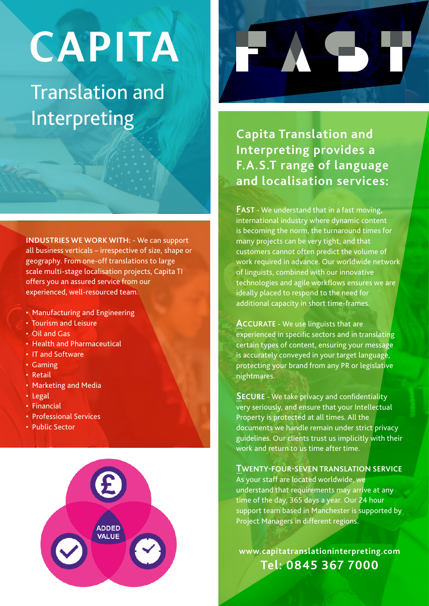# CAPITA

## Translation and **Interpreting Capita Translation and Capita Translation and**

**INDUSTRIES WE WORK WITH:** - We can support all business verticals – irrespective of size, shape or geography. From one-off translations to large scale multi-stage localisation projects, Capita TI offers you an assured service from our experienced, well-resourced team.

- Manufacturing and Engineering
- Tourism and Leisure
- Oil and Gas
- Health and Pharmaceutical
- IT and Software
- Gaming
- Retail
- Marketing and Media
- Legal
- Financial
- Professional Services
- Public Sector





**Interpreting provides a F.A.S.T range of language and localisation services:**

**FAST** - We understand that in a fast moving, international industry where dynamic content is becoming the norm, the turnaround times for many projects can be very tight, and that customers cannot often predict the volume of work required in advance. Our worldwide network of linguists, combined with our innovative technologies and agile workflows ensures we are ideally placed to respond to the need for additional capacity in short time-frames.

**ACCURATE** - We use linguists that are experienced in specific sectors and in translating certain types of content, ensuring your message is accurately conveyed in your target language, protecting your brand from any PR or legislative nightmares.

**SECURE** - We take privacy and confidentiality very seriously, and ensure that your Intellectual Property is protected at all times. All the documents we handle remain under strict privacy guidelines. Our clients trust us implicitly with their work and return to us time after time.

#### **TWENTY-FOUR-SEVEN TRANSLATION SERVICE**

As your staff are located worldwide, we understand that requirements may arrive at any time of the day, 365 days a year. Our 24 hour support team based in Manchester is supported by Project Managers in different regions.

**www.capitatranslationinterpreting.com Tel: 0845 367 7000**